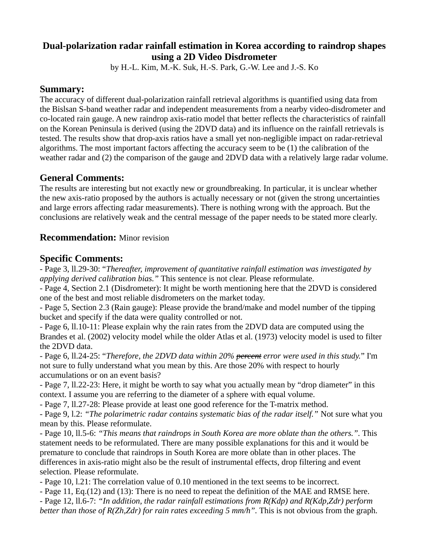# **Dual-polarization radar rainfall estimation in Korea according to raindrop shapes using a 2D Video Disdrometer**

by H.-L. Kim, M.-K. Suk, H.-S. Park, G.-W. Lee and J.-S. Ko

### **Summary:**

The accuracy of different dual-polarization rainfall retrieval algorithms is quantified using data from the Bislsan S-band weather radar and independent measurements from a nearby video-disdrometer and co-located rain gauge. A new raindrop axis-ratio model that better reflects the characteristics of rainfall on the Korean Peninsula is derived (using the 2DVD data) and its influence on the rainfall retrievals is tested. The results show that drop-axis ratios have a small yet non-negligible impact on radar-retrieval algorithms. The most important factors affecting the accuracy seem to be (1) the calibration of the weather radar and (2) the comparison of the gauge and 2DVD data with a relatively large radar volume.

# **General Comments:**

The results are interesting but not exactly new or groundbreaking. In particular, it is unclear whether the new axis-ratio proposed by the authors is actually necessary or not (given the strong uncertainties and large errors affecting radar measurements). There is nothing wrong with the approach. But the conclusions are relatively weak and the central message of the paper needs to be stated more clearly.

### **Recommendation:** Minor revision

## **Specific Comments:**

- Page 3, ll.29-30: "*Thereafter, improvement of quantitative rainfall estimation was investigated by applying derived calibration bias."* This sentence is not clear. Please reformulate.

- Page 4, Section 2.1 (Disdrometer): It might be worth mentioning here that the 2DVD is considered one of the best and most reliable disdrometers on the market today.

- Page 5, Section 2.3 (Rain gauge): Please provide the brand/make and model number of the tipping bucket and specify if the data were quality controlled or not.

- Page 6, ll.10-11: Please explain why the rain rates from the 2DVD data are computed using the Brandes et al. (2002) velocity model while the older Atlas et al. (1973) velocity model is used to filter the 2DVD data.

- Page 6, ll.24-25: "*Therefore, the 2DVD data within 20% percent error were used in this study.*" I'm not sure to fully understand what you mean by this. Are those 20% with respect to hourly accumulations or on an event basis?

- Page 7, ll.22-23: Here, it might be worth to say what you actually mean by "drop diameter" in this context. I assume you are referring to the diameter of a sphere with equal volume.

- Page 7, ll.27-28: Please provide at least one good reference for the T-matrix method.

- Page 9, l.2: *"The polarimetric radar contains systematic bias of the radar itself."* Not sure what you mean by this. Please reformulate.

- Page 10, ll.5-6: *"This means that raindrops in South Korea are more oblate than the others.".* This statement needs to be reformulated. There are many possible explanations for this and it would be premature to conclude that raindrops in South Korea are more oblate than in other places. The differences in axis-ratio might also be the result of instrumental effects, drop filtering and event selection. Please reformulate.

- Page 10, l.21: The correlation value of 0.10 mentioned in the text seems to be incorrect.

- Page 11, Eq.(12) and (13): There is no need to repeat the definition of the MAE and RMSE here.

- Page 12, ll.6-7: *"In addition, the radar rainfall estimations from R(Kdp) and R(Kdp,Zdr) perform better than those of R(Zh,Zdr) for rain rates exceeding 5 mm/h".* This is not obvious from the graph.